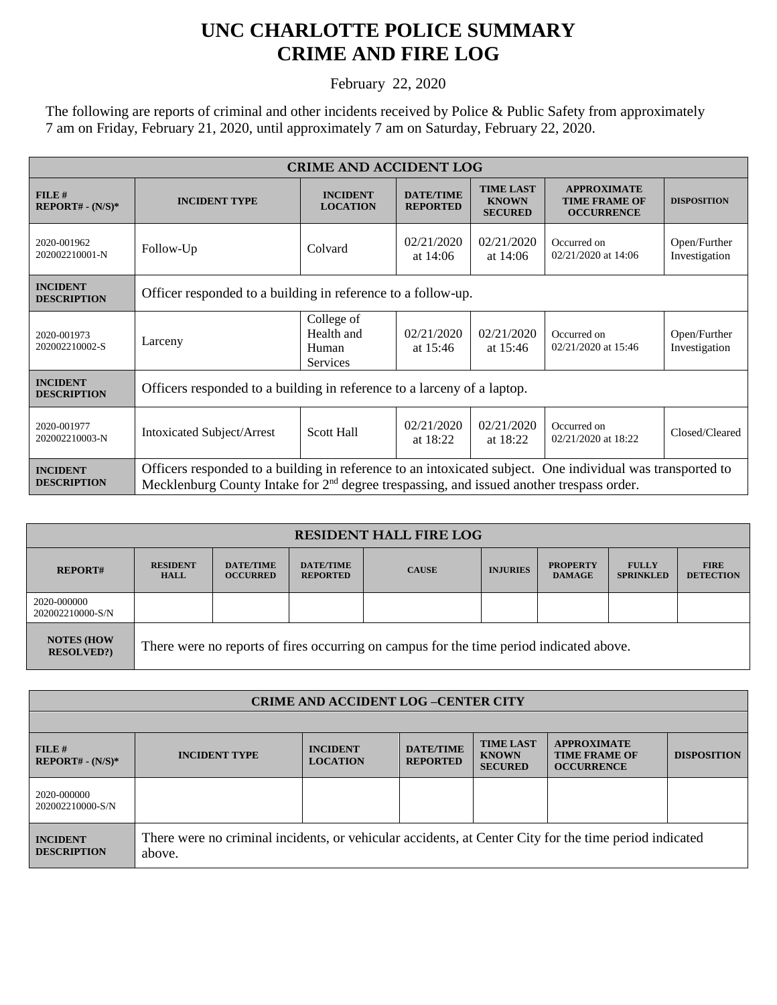## **UNC CHARLOTTE POLICE SUMMARY CRIME AND FIRE LOG**

February 22, 2020

The following are reports of criminal and other incidents received by Police & Public Safety from approximately 7 am on Friday, February 21, 2020, until approximately 7 am on Saturday, February 22, 2020.

| <b>CRIME AND ACCIDENT LOG</b>         |                                                                                                                                                                                                          |                                                      |                                     |                                                    |                                                                 |                               |  |
|---------------------------------------|----------------------------------------------------------------------------------------------------------------------------------------------------------------------------------------------------------|------------------------------------------------------|-------------------------------------|----------------------------------------------------|-----------------------------------------------------------------|-------------------------------|--|
| FILE#<br>$REPORT# - (N/S)*$           | <b>INCIDENT TYPE</b>                                                                                                                                                                                     | <b>INCIDENT</b><br><b>LOCATION</b>                   | <b>DATE/TIME</b><br><b>REPORTED</b> | <b>TIME LAST</b><br><b>KNOWN</b><br><b>SECURED</b> | <b>APPROXIMATE</b><br><b>TIME FRAME OF</b><br><b>OCCURRENCE</b> | <b>DISPOSITION</b>            |  |
| 2020-001962<br>202002210001-N         | Follow-Up                                                                                                                                                                                                | Colvard                                              | 02/21/2020<br>at $14:06$            | 02/21/2020<br>at $14:06$                           | Occurred on<br>02/21/2020 at 14:06                              | Open/Further<br>Investigation |  |
| <b>INCIDENT</b><br><b>DESCRIPTION</b> | Officer responded to a building in reference to a follow-up.                                                                                                                                             |                                                      |                                     |                                                    |                                                                 |                               |  |
| 2020-001973<br>202002210002-S         | Larceny                                                                                                                                                                                                  | College of<br>Health and<br>Human<br><b>Services</b> | 02/21/2020<br>at $15:46$            | 02/21/2020<br>at $15:46$                           | Occurred on<br>02/21/2020 at 15:46                              | Open/Further<br>Investigation |  |
| <b>INCIDENT</b><br><b>DESCRIPTION</b> | Officers responded to a building in reference to a larceny of a laptop.                                                                                                                                  |                                                      |                                     |                                                    |                                                                 |                               |  |
| 2020-001977<br>202002210003-N         | <b>Intoxicated Subject/Arrest</b>                                                                                                                                                                        | <b>Scott Hall</b>                                    | 02/21/2020<br>at $18:22$            | 02/21/2020<br>at $18:22$                           | Occurred on<br>02/21/2020 at 18:22                              | Closed/Cleared                |  |
| <b>INCIDENT</b><br><b>DESCRIPTION</b> | Officers responded to a building in reference to an intoxicated subject. One individual was transported to<br>Mecklenburg County Intake for $2nd$ degree trespassing, and issued another trespass order. |                                                      |                                     |                                                    |                                                                 |                               |  |

| <b>RESIDENT HALL FIRE LOG</b>         |                                                                                         |                                     |                                     |              |                 |                                  |                                  |                                 |  |
|---------------------------------------|-----------------------------------------------------------------------------------------|-------------------------------------|-------------------------------------|--------------|-----------------|----------------------------------|----------------------------------|---------------------------------|--|
| <b>REPORT#</b>                        | <b>RESIDENT</b><br><b>HALL</b>                                                          | <b>DATE/TIME</b><br><b>OCCURRED</b> | <b>DATE/TIME</b><br><b>REPORTED</b> | <b>CAUSE</b> | <b>INJURIES</b> | <b>PROPERTY</b><br><b>DAMAGE</b> | <b>FULLY</b><br><b>SPRINKLED</b> | <b>FIRE</b><br><b>DETECTION</b> |  |
| 2020-000000<br>202002210000-S/N       |                                                                                         |                                     |                                     |              |                 |                                  |                                  |                                 |  |
| <b>NOTES (HOW</b><br><b>RESOLVED?</b> | There were no reports of fires occurring on campus for the time period indicated above. |                                     |                                     |              |                 |                                  |                                  |                                 |  |

| <b>CRIME AND ACCIDENT LOG-CENTER CITY</b> |                                                                                                                  |                                    |                                     |                                                    |                                                                 |                    |  |
|-------------------------------------------|------------------------------------------------------------------------------------------------------------------|------------------------------------|-------------------------------------|----------------------------------------------------|-----------------------------------------------------------------|--------------------|--|
|                                           |                                                                                                                  |                                    |                                     |                                                    |                                                                 |                    |  |
| FILE#<br>$REPORT# - (N/S)*$               | <b>INCIDENT TYPE</b>                                                                                             | <b>INCIDENT</b><br><b>LOCATION</b> | <b>DATE/TIME</b><br><b>REPORTED</b> | <b>TIME LAST</b><br><b>KNOWN</b><br><b>SECURED</b> | <b>APPROXIMATE</b><br><b>TIME FRAME OF</b><br><b>OCCURRENCE</b> | <b>DISPOSITION</b> |  |
| 2020-000000<br>202002210000-S/N           |                                                                                                                  |                                    |                                     |                                                    |                                                                 |                    |  |
| <b>INCIDENT</b><br><b>DESCRIPTION</b>     | There were no criminal incidents, or vehicular accidents, at Center City for the time period indicated<br>above. |                                    |                                     |                                                    |                                                                 |                    |  |